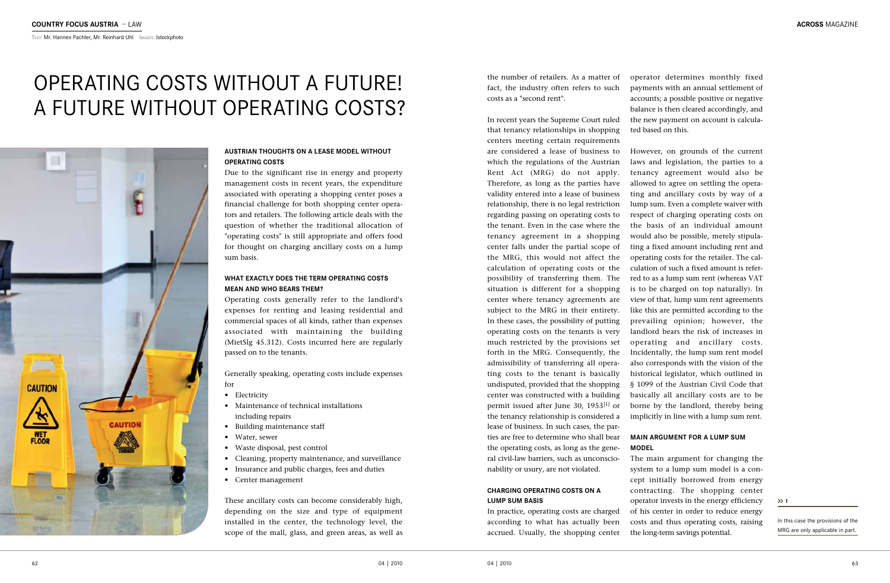#### **ACROSS** MAGAZINE

Text: Mr. Hannes Pachler, Mr. Reinhard Uhl Images: Istockphoto

the number of retailers. As a matter of fact, the industry often refers to such costs as a "second rent".

In recent years the Supreme Court ruled that tenancy relationships in shopping centers meeting certain requirements are considered a lease of business to which the regulations of the Austrian Rent Act (MRG) do not apply. Therefore, as long as the parties have validity entered into a lease of business relationship, there is no legal restriction regarding passing on operating costs to the tenant. Even in the case where the tenancy agreement in a shopping center falls under the partial scope of the MRG, this would not affect the calculation of operating costs or the possibility of transferring them. The situation is different for a shopping center where tenancy agreements are subject to the MRG in their entirety. In these cases, the possibility of putting operating costs on the tenants is very much restricted by the provisions set forth in the MRG. Consequently, the admissibility of transferring all operating costs to the tenant is basically undisputed, provided that the shopping center was constructed with a building permit issued after June 30, 1953[1] or the tenancy relationship is considered a lease of business. In such cases, the parties are free to determine who shall bear the operating costs, as long as the general civil-law barriers, such as unconscionability or usury, are not violated.

#### **Charging operating costs on a lump sum basis**

In practice, operating costs are charged according to what has actually been accrued. Usually, the shopping center operator determines monthly fixed payments with an annual settlement of accounts; a possible positive or negative balance is then cleared accordingly, and the new payment on account is calculated based on this.

However, on grounds of the current laws and legislation, the parties to a tenancy agreement would also be allowed to agree on settling the operating and ancillary costs by way of a lump sum. Even a complete waiver with respect of charging operating costs on the basis of an individual amount would also be possible, merely stipulating a fixed amount including rent and operating costs for the retailer. The calculation of such a fixed amount is referred to as a lump sum rent (whereas VAT is to be charged on top naturally). In view of that, lump sum rent agreements like this are permitted according to the prevailing opinion; however, the landlord bears the risk of increases in operating and ancillary costs. Incidentally, the lump sum rent model also corresponds with the vision of the historical legislator, which outlined in § 1099 of the Austrian Civil Code that basically all ancillary costs are to be borne by the landlord, thereby being implicitly in line with a lump sum rent.

#### **Main argument for a lump sum**

## **model**

The main argument for changing the system to a lump sum model is a concept initially borrowed from energy contracting. The shopping center operator invests in the energy efficiency of his center in order to reduce energy costs and thus operating costs, raising the long-term savings potential.

**1**

In this case the provisions of the MRG are only applicable in part.

# Operating costs without a future! A future without operating costs?



#### **Austrian thoughts on a lease model without operating costs**

Due to the significant rise in energy and property management costs in recent years, the expenditure associated with operating a shopping center poses a financial challenge for both shopping center operators and retailers. The following article deals with the question of whether the traditional allocation of "operating costs" is still appropriate and offers food for thought on charging ancillary costs on a lump sum basis.

#### **What exactly does the term operating costs mean and who bears them?**

Operating costs generally refer to the landlord's expenses for renting and leasing residential and commercial spaces of all kinds, rather than expenses associated with maintaining the building (MietSlg 45.312). Costs incurred here are regularly passed on to the tenants.

Generally speaking, operating costs include expenses for

- • Electricity
- Maintenance of technical installations including repairs
- • Building maintenance staff
- Water, sewer
- • Waste disposal, pest control
- • Cleaning, property maintenance, and surveillance
- • Insurance and public charges, fees and duties
- • Center management

These ancillary costs can become considerably high, depending on the size and type of equipment installed in the center, the technology level, the scope of the mall, glass, and green areas, as well as